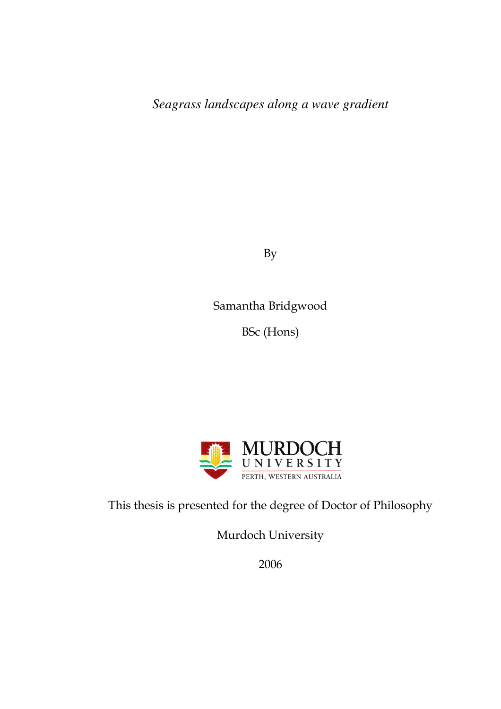*Seagrass landscapes along a wave gradient* 

By

Samantha Bridgwood

BSc (Hons)



This thesis is presented for the degree of Doctor of Philosophy

Murdoch University

2006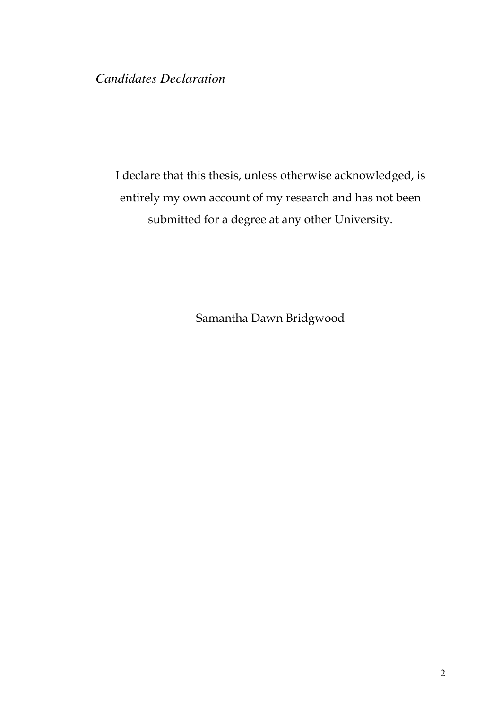### *Candidates Declaration*

I declare that this thesis, unless otherwise acknowledged, is entirely my own account of my research and has not been submitted for a degree at any other University.

Samantha Dawn Bridgwood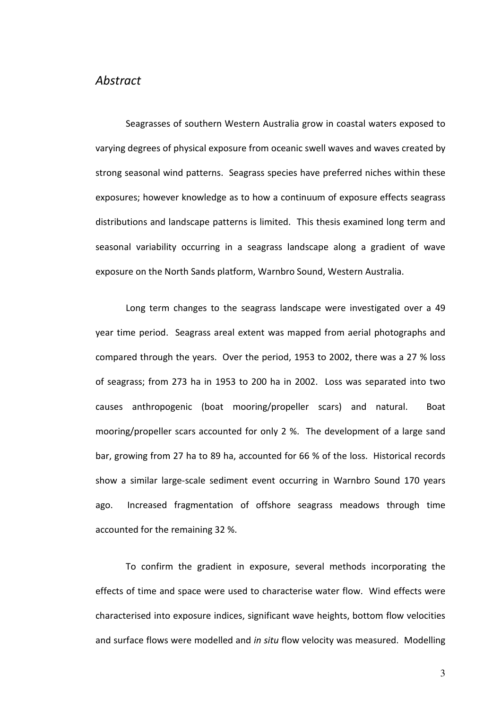#### Abstract

Seagrasses of southern Western Australia grow in coastal waters exposed to varying degrees of physical exposure from oceanic swell waves and waves created by strong seasonal wind patterns. Seagrass species have preferred niches within these exposures; however knowledge as to how a continuum of exposure effects seagrass distributions and landscape patterns is limited. This thesis examined long term and seasonal variability occurring in a seagrass landscape along a gradient of wave exposure on the North Sands platform, Warnbro Sound, Western Australia.

Long term changes to the seagrass landscape were investigated over a 49 year time period. Seagrass areal extent was mapped from aerial photographs and compared through the years. Over the period, 1953 to 2002, there was a 27 % loss of seagrass; from 273 ha in 1953 to 200 ha in 2002. Loss was separated into two causes anthropogenic (boat mooring/propeller scars) and natural. Boat mooring/propeller scars accounted for only 2 %. The development of a large sand bar, growing from 27 ha to 89 ha, accounted for 66 % of the loss. Historical records show a similar large-scale sediment event occurring in Warnbro Sound 170 years ago. Increased fragmentation of offshore seagrass meadows through time accounted for the remaining 32 %.

To confirm the gradient in exposure, several methods incorporating the effects of time and space were used to characterise water flow. Wind effects were characterised into exposure indices, significant wave heights, bottom flow velocities and surface flows were modelled and in situ flow velocity was measured. Modelling

3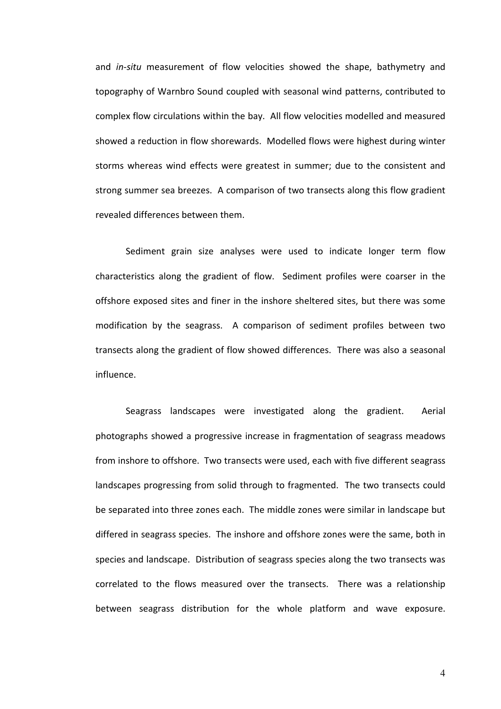and in-situ measurement of flow velocities showed the shape, bathymetry and topography of Warnbro Sound coupled with seasonal wind patterns, contributed to complex flow circulations within the bay. All flow velocities modelled and measured showed a reduction in flow shorewards. Modelled flows were highest during winter storms whereas wind effects were greatest in summer; due to the consistent and strong summer sea breezes. A comparison of two transects along this flow gradient revealed differences between them.

Sediment grain size analyses were used to indicate longer term flow characteristics along the gradient of flow. Sediment profiles were coarser in the offshore exposed sites and finer in the inshore sheltered sites, but there was some modification by the seagrass. A comparison of sediment profiles between two transects along the gradient of flow showed differences. There was also a seasonal influence.

Seagrass landscapes were investigated along the gradient. Aerial photographs showed a progressive increase in fragmentation of seagrass meadows from inshore to offshore. Two transects were used, each with five different seagrass landscapes progressing from solid through to fragmented. The two transects could be separated into three zones each. The middle zones were similar in landscape but differed in seagrass species. The inshore and offshore zones were the same, both in species and landscape. Distribution of seagrass species along the two transects was correlated to the flows measured over the transects. There was a relationship between seagrass distribution for the whole platform and wave exposure.

4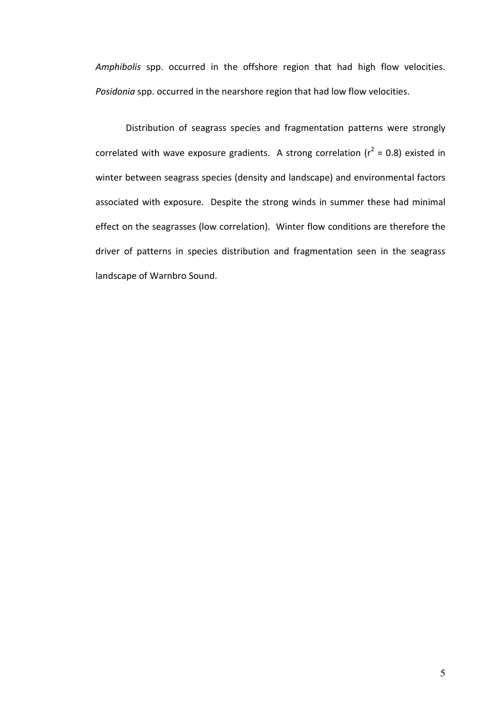Amphibolis spp. occurred in the offshore region that had high flow velocities. Posidonia spp. occurred in the nearshore region that had low flow velocities.

Distribution of seagrass species and fragmentation patterns were strongly correlated with wave exposure gradients. A strong correlation ( $r^2$  = 0.8) existed in winter between seagrass species (density and landscape) and environmental factors associated with exposure. Despite the strong winds in summer these had minimal effect on the seagrasses (low correlation). Winter flow conditions are therefore the driver of patterns in species distribution and fragmentation seen in the seagrass landscape of Warnbro Sound.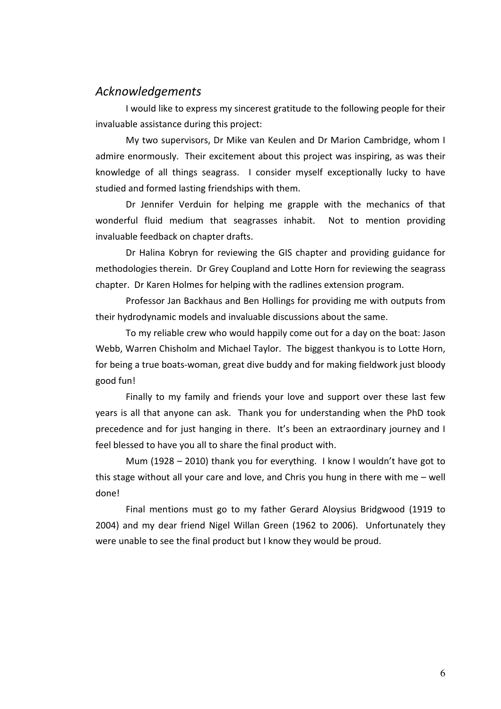### Acknowledgements

I would like to express my sincerest gratitude to the following people for their invaluable assistance during this project:

My two supervisors, Dr Mike van Keulen and Dr Marion Cambridge, whom I admire enormously. Their excitement about this project was inspiring, as was their knowledge of all things seagrass. I consider myself exceptionally lucky to have studied and formed lasting friendships with them.

Dr Jennifer Verduin for helping me grapple with the mechanics of that wonderful fluid medium that seagrasses inhabit. Not to mention providing invaluable feedback on chapter drafts.

Dr Halina Kobryn for reviewing the GIS chapter and providing guidance for methodologies therein. Dr Grey Coupland and Lotte Horn for reviewing the seagrass chapter. Dr Karen Holmes for helping with the radlines extension program.

Professor Jan Backhaus and Ben Hollings for providing me with outputs from their hydrodynamic models and invaluable discussions about the same.

To my reliable crew who would happily come out for a day on the boat: Jason Webb, Warren Chisholm and Michael Taylor. The biggest thankyou is to Lotte Horn, for being a true boats-woman, great dive buddy and for making fieldwork just bloody good fun!

Finally to my family and friends your love and support over these last few years is all that anyone can ask. Thank you for understanding when the PhD took precedence and for just hanging in there. It's been an extraordinary journey and I feel blessed to have you all to share the final product with.

Mum (1928 – 2010) thank you for everything. I know I wouldn't have got to this stage without all your care and love, and Chris you hung in there with me – well done!

Final mentions must go to my father Gerard Aloysius Bridgwood (1919 to 2004) and my dear friend Nigel Willan Green (1962 to 2006). Unfortunately they were unable to see the final product but I know they would be proud.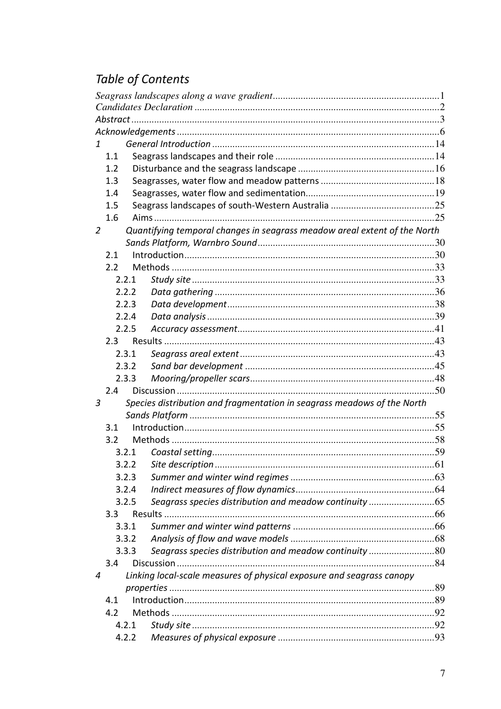# Table of Contents

| 1              |         |       |                                                                           |    |
|----------------|---------|-------|---------------------------------------------------------------------------|----|
|                | 1.1     |       |                                                                           |    |
|                | 1.2     |       |                                                                           |    |
|                | 1.3     |       |                                                                           |    |
|                | 1.4     |       |                                                                           |    |
|                | $1.5\,$ |       |                                                                           |    |
|                | 1.6     |       |                                                                           |    |
| $\overline{2}$ |         |       | Quantifying temporal changes in seagrass meadow areal extent of the North |    |
|                |         |       |                                                                           |    |
|                | 2.1     |       |                                                                           |    |
|                | 2.2     |       |                                                                           |    |
|                | 2.2.1   |       |                                                                           |    |
|                | 2.2.2   |       |                                                                           |    |
|                | 2.2.3   |       |                                                                           |    |
|                | 2.2.4   |       |                                                                           |    |
|                | 2.2.5   |       |                                                                           |    |
|                | 2.3     |       |                                                                           |    |
|                | 2.3.1   |       |                                                                           |    |
|                | 2.3.2   |       |                                                                           |    |
|                | 2.3.3   |       |                                                                           |    |
|                | 2.4     |       |                                                                           |    |
| 3              |         |       | Species distribution and fragmentation in seagrass meadows of the North   |    |
|                |         |       |                                                                           |    |
|                | 3.1     |       |                                                                           |    |
|                | 3.2     |       |                                                                           |    |
|                |         | 3.2.1 |                                                                           |    |
|                |         |       |                                                                           | 61 |
|                | 3.2.3   |       |                                                                           |    |
|                | 3.2.4   |       |                                                                           |    |
|                | 3.2.5   |       | Seagrass species distribution and meadow continuity 65                    |    |
|                | 3.3     |       |                                                                           |    |
|                | 3.3.1   |       |                                                                           |    |
|                | 3.3.2   |       |                                                                           |    |
|                | 3.3.3   |       | Seagrass species distribution and meadow continuity 80                    |    |
|                | 3.4     |       |                                                                           |    |
| 4              |         |       | Linking local-scale measures of physical exposure and seagrass canopy     |    |
|                |         |       |                                                                           |    |
|                | 4.1     |       |                                                                           |    |
|                | 4.2     |       |                                                                           |    |
|                | 4.2.1   |       |                                                                           |    |
|                | 4.2.2   |       |                                                                           |    |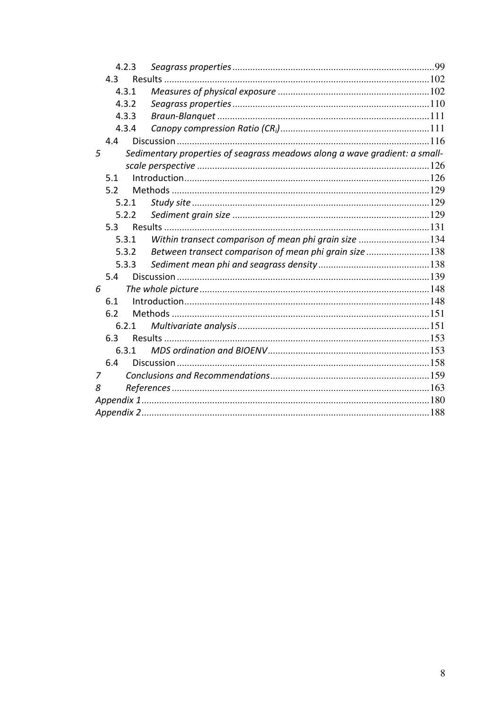|     | 4.2.3 |                                                                            |  |  |  |  |  |
|-----|-------|----------------------------------------------------------------------------|--|--|--|--|--|
| 4.3 |       |                                                                            |  |  |  |  |  |
|     | 4.3.1 |                                                                            |  |  |  |  |  |
|     | 4.3.2 |                                                                            |  |  |  |  |  |
|     | 4.3.3 |                                                                            |  |  |  |  |  |
|     | 4.3.4 |                                                                            |  |  |  |  |  |
| 4.4 |       |                                                                            |  |  |  |  |  |
| 5   |       | Sedimentary properties of seagrass meadows along a wave gradient: a small- |  |  |  |  |  |
|     |       |                                                                            |  |  |  |  |  |
| 5.1 |       |                                                                            |  |  |  |  |  |
| 5.2 |       |                                                                            |  |  |  |  |  |
|     | 5.2.1 |                                                                            |  |  |  |  |  |
|     | 5.2.2 |                                                                            |  |  |  |  |  |
|     | 5.3   |                                                                            |  |  |  |  |  |
|     | 5.3.1 | Within transect comparison of mean phi grain size 134                      |  |  |  |  |  |
|     | 5.3.2 | Between transect comparison of mean phi grain size 138                     |  |  |  |  |  |
|     | 5.3.3 |                                                                            |  |  |  |  |  |
| 5.4 |       |                                                                            |  |  |  |  |  |
| 6   |       |                                                                            |  |  |  |  |  |
| 6.1 |       |                                                                            |  |  |  |  |  |
| 6.2 |       |                                                                            |  |  |  |  |  |
|     | 6.2.1 |                                                                            |  |  |  |  |  |
| 6.3 |       |                                                                            |  |  |  |  |  |
|     | 6.3.1 |                                                                            |  |  |  |  |  |
| 6.4 |       |                                                                            |  |  |  |  |  |
| 7   |       |                                                                            |  |  |  |  |  |
| 8   |       |                                                                            |  |  |  |  |  |
|     |       |                                                                            |  |  |  |  |  |
|     |       |                                                                            |  |  |  |  |  |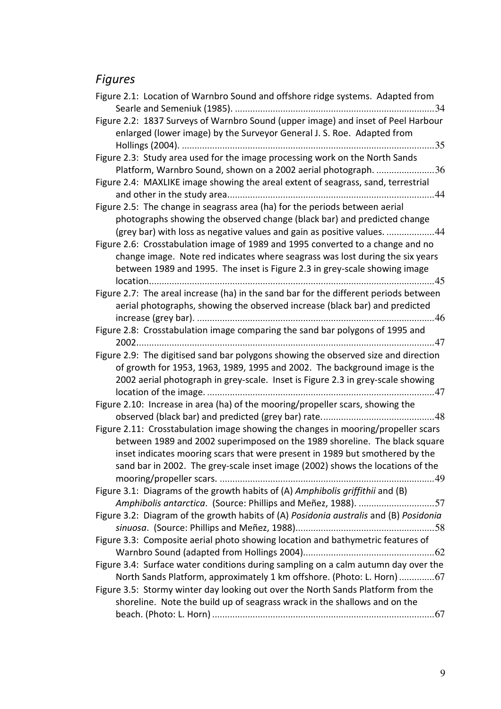## Figures

| Figure 2.1: Location of Warnbro Sound and offshore ridge systems. Adapted from<br>.34                                                                                                                                                                                                                                             |
|-----------------------------------------------------------------------------------------------------------------------------------------------------------------------------------------------------------------------------------------------------------------------------------------------------------------------------------|
| Figure 2.2: 1837 Surveys of Warnbro Sound (upper image) and inset of Peel Harbour<br>enlarged (lower image) by the Surveyor General J. S. Roe. Adapted from<br>.35                                                                                                                                                                |
| Figure 2.3: Study area used for the image processing work on the North Sands<br>Platform, Warnbro Sound, shown on a 2002 aerial photograph. 36                                                                                                                                                                                    |
| Figure 2.4: MAXLIKE image showing the areal extent of seagrass, sand, terrestrial                                                                                                                                                                                                                                                 |
| Figure 2.5: The change in seagrass area (ha) for the periods between aerial<br>photographs showing the observed change (black bar) and predicted change<br>(grey bar) with loss as negative values and gain as positive values. 44                                                                                                |
| Figure 2.6: Crosstabulation image of 1989 and 1995 converted to a change and no<br>change image. Note red indicates where seagrass was lost during the six years<br>between 1989 and 1995. The inset is Figure 2.3 in grey-scale showing image                                                                                    |
| Figure 2.7: The areal increase (ha) in the sand bar for the different periods between<br>aerial photographs, showing the observed increase (black bar) and predicted                                                                                                                                                              |
| Figure 2.8: Crosstabulation image comparing the sand bar polygons of 1995 and                                                                                                                                                                                                                                                     |
| Figure 2.9: The digitised sand bar polygons showing the observed size and direction<br>of growth for 1953, 1963, 1989, 1995 and 2002. The background image is the<br>2002 aerial photograph in grey-scale. Inset is Figure 2.3 in grey-scale showing                                                                              |
| Figure 2.10: Increase in area (ha) of the mooring/propeller scars, showing the                                                                                                                                                                                                                                                    |
| Figure 2.11: Crosstabulation image showing the changes in mooring/propeller scars<br>between 1989 and 2002 superimposed on the 1989 shoreline. The black square<br>inset indicates mooring scars that were present in 1989 but smothered by the<br>sand bar in 2002. The grey-scale inset image (2002) shows the locations of the |
| Figure 3.1: Diagrams of the growth habits of (A) Amphibolis griffithii and (B)<br>Amphibolis antarctica. (Source: Phillips and Meñez, 1988). 57                                                                                                                                                                                   |
| Figure 3.2: Diagram of the growth habits of (A) Posidonia australis and (B) Posidonia                                                                                                                                                                                                                                             |
| Figure 3.3: Composite aerial photo showing location and bathymetric features of                                                                                                                                                                                                                                                   |
| Figure 3.4: Surface water conditions during sampling on a calm autumn day over the<br>North Sands Platform, approximately 1 km offshore. (Photo: L. Horn) 67                                                                                                                                                                      |
| Figure 3.5: Stormy winter day looking out over the North Sands Platform from the<br>shoreline. Note the build up of seagrass wrack in the shallows and on the                                                                                                                                                                     |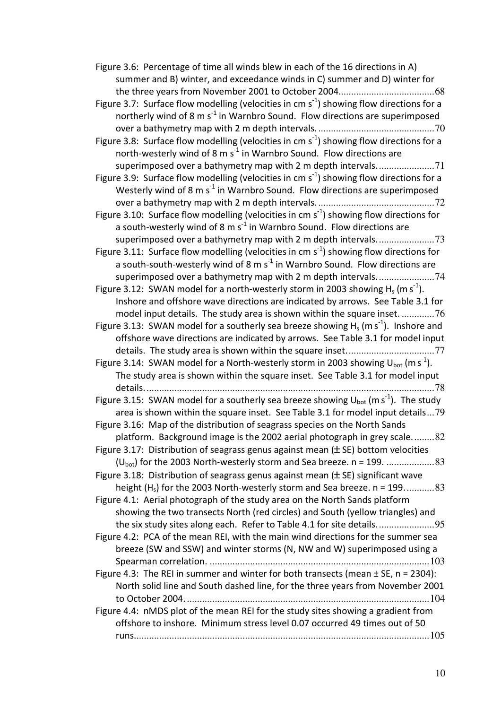| Figure 3.6: Percentage of time all winds blew in each of the 16 directions in A)                          |
|-----------------------------------------------------------------------------------------------------------|
| summer and B) winter, and exceedance winds in C) summer and D) winter for                                 |
|                                                                                                           |
| Figure 3.7: Surface flow modelling (velocities in cm $s^{-1}$ ) showing flow directions for a             |
| northerly wind of 8 m s <sup>-1</sup> in Warnbro Sound. Flow directions are superimposed                  |
|                                                                                                           |
| Figure 3.8: Surface flow modelling (velocities in cm $s^{-1}$ ) showing flow directions for a             |
| north-westerly wind of 8 m s <sup>-1</sup> in Warnbro Sound. Flow directions are                          |
| superimposed over a bathymetry map with 2 m depth intervals71                                             |
| Figure 3.9: Surface flow modelling (velocities in cm $s^{-1}$ ) showing flow directions for a             |
| Westerly wind of 8 m $s^{-1}$ in Warnbro Sound. Flow directions are superimposed                          |
|                                                                                                           |
| Figure 3.10: Surface flow modelling (velocities in cm $s^{-1}$ ) showing flow directions for              |
| a south-westerly wind of 8 m $s^{-1}$ in Warnbro Sound. Flow directions are                               |
|                                                                                                           |
| Figure 3.11: Surface flow modelling (velocities in cm $s^{-1}$ ) showing flow directions for              |
| a south-south-westerly wind of 8 m s <sup>-1</sup> in Warnbro Sound. Flow directions are                  |
| superimposed over a bathymetry map with 2 m depth intervals74                                             |
| Figure 3.12: SWAN model for a north-westerly storm in 2003 showing $H_s$ (m s <sup>-1</sup> ).            |
| Inshore and offshore wave directions are indicated by arrows. See Table 3.1 for                           |
| model input details. The study area is shown within the square inset76                                    |
| Figure 3.13: SWAN model for a southerly sea breeze showing $H_s$ (m s <sup>-1</sup> ). Inshore and        |
| offshore wave directions are indicated by arrows. See Table 3.1 for model input                           |
|                                                                                                           |
| Figure 3.14: SWAN model for a North-westerly storm in 2003 showing $U_{\text{bot}}$ (m s <sup>-1</sup> ). |
| The study area is shown within the square inset. See Table 3.1 for model input                            |
| details                                                                                                   |
| Figure 3.15: SWAN model for a southerly sea breeze showing $U_{bot}$ (m s <sup>-1</sup> ). The study      |
| area is shown within the square inset. See Table 3.1 for model input details79                            |
| Figure 3.16: Map of the distribution of seagrass species on the North Sands                               |
| platform. Background image is the 2002 aerial photograph in grey scale82                                  |
| Figure 3.17: Distribution of seagrass genus against mean $(\pm$ SE) bottom velocities                     |
|                                                                                                           |
| Figure 3.18: Distribution of seagrass genus against mean $(\pm$ SE) significant wave                      |
| height (H <sub>s</sub> ) for the 2003 North-westerly storm and Sea breeze. n = 19983                      |
| Figure 4.1: Aerial photograph of the study area on the North Sands platform                               |
| showing the two transects North (red circles) and South (yellow triangles) and                            |
| the six study sites along each. Refer to Table 4.1 for site details                                       |
| Figure 4.2: PCA of the mean REI, with the main wind directions for the summer sea                         |
| breeze (SW and SSW) and winter storms (N, NW and W) superimposed using a                                  |
|                                                                                                           |
| Figure 4.3: The REI in summer and winter for both transects (mean $\pm$ SE, n = 2304):                    |
| North solid line and South dashed line, for the three years from November 2001                            |
|                                                                                                           |
| Figure 4.4: nMDS plot of the mean REI for the study sites showing a gradient from                         |
| offshore to inshore. Minimum stress level 0.07 occurred 49 times out of 50                                |
|                                                                                                           |
|                                                                                                           |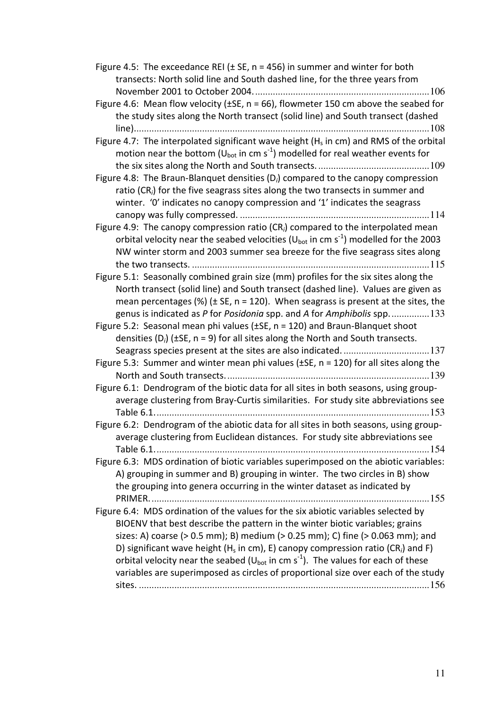| Figure 4.5: The exceedance REI ( $\pm$ SE, n = 456) in summer and winter for both<br>transects: North solid line and South dashed line, for the three years from                                                                                                                       |
|----------------------------------------------------------------------------------------------------------------------------------------------------------------------------------------------------------------------------------------------------------------------------------------|
|                                                                                                                                                                                                                                                                                        |
| Figure 4.6: Mean flow velocity ( $\pm$ SE, n = 66), flowmeter 150 cm above the seabed for<br>the study sites along the North transect (solid line) and South transect (dashed                                                                                                          |
|                                                                                                                                                                                                                                                                                        |
| Figure 4.7: The interpolated significant wave height ( $H_s$ in cm) and RMS of the orbital<br>motion near the bottom ( $U_{bot}$ in cm s <sup>-1</sup> ) modelled for real weather events for                                                                                          |
| Figure 4.8: The Braun-Blanquet densities $(D_i)$ compared to the canopy compression<br>ratio (CR <sub>i</sub> ) for the five seagrass sites along the two transects in summer and<br>winter. 'O' indicates no canopy compression and '1' indicates the seagrass                        |
|                                                                                                                                                                                                                                                                                        |
| Figure 4.9: The canopy compression ratio (CR <sub>i</sub> ) compared to the interpolated mean<br>orbital velocity near the seabed velocities ( $U_{bot}$ in cm s <sup>-1</sup> ) modelled for the 2003<br>NW winter storm and 2003 summer sea breeze for the five seagrass sites along |
| Figure 5.1: Seasonally combined grain size (mm) profiles for the six sites along the                                                                                                                                                                                                   |
| North transect (solid line) and South transect (dashed line). Values are given as                                                                                                                                                                                                      |
| mean percentages (%) ( $\pm$ SE, n = 120). When seagrass is present at the sites, the                                                                                                                                                                                                  |
| genus is indicated as P for Posidonia spp. and A for Amphibolis spp133                                                                                                                                                                                                                 |
| Figure 5.2: Seasonal mean phi values ( $\pm$ SE, n = 120) and Braun-Blanquet shoot                                                                                                                                                                                                     |
| densities (D <sub>i</sub> ) ( $\pm$ SE, n = 9) for all sites along the North and South transects.                                                                                                                                                                                      |
|                                                                                                                                                                                                                                                                                        |
| Figure 5.3: Summer and winter mean phi values ( $\pm$ SE, n = 120) for all sites along the                                                                                                                                                                                             |
|                                                                                                                                                                                                                                                                                        |
| Figure 6.1: Dendrogram of the biotic data for all sites in both seasons, using group-                                                                                                                                                                                                  |
| average clustering from Bray-Curtis similarities. For study site abbreviations see                                                                                                                                                                                                     |
| Figure 6.2: Dendrogram of the abiotic data for all sites in both seasons, using group-                                                                                                                                                                                                 |
| average clustering from Euclidean distances. For study site abbreviations see                                                                                                                                                                                                          |
| Figure 6.3: MDS ordination of biotic variables superimposed on the abiotic variables:                                                                                                                                                                                                  |
| A) grouping in summer and B) grouping in winter. The two circles in B) show<br>the grouping into genera occurring in the winter dataset as indicated by                                                                                                                                |
|                                                                                                                                                                                                                                                                                        |
|                                                                                                                                                                                                                                                                                        |
| Figure 6.4: MDS ordination of the values for the six abiotic variables selected by<br>BIOENV that best describe the pattern in the winter biotic variables; grains<br>sizes: A) coarse (> 0.5 mm); B) medium (> 0.25 mm); C) fine (> 0.063 mm); and                                    |
| D) significant wave height (H <sub>s</sub> in cm), E) canopy compression ratio (CR <sub>i</sub> ) and F)<br>orbital velocity near the seabed ( $U_{bot}$ in cm s <sup>-1</sup> ). The values for each of these                                                                         |
| variables are superimposed as circles of proportional size over each of the study                                                                                                                                                                                                      |
|                                                                                                                                                                                                                                                                                        |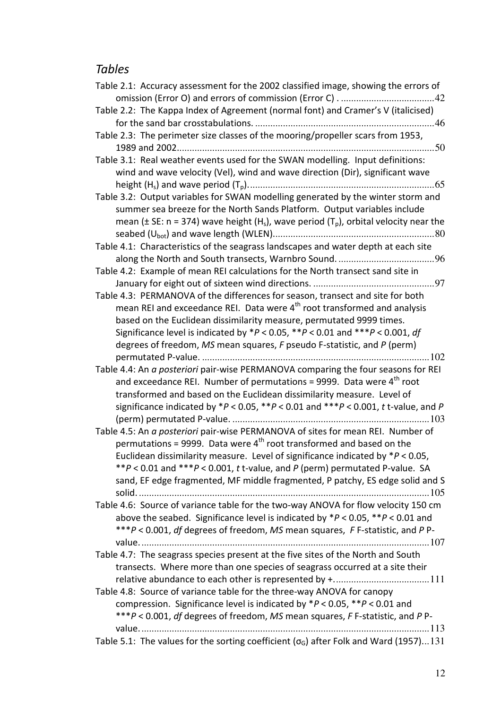## Tables

| Table 2.1: Accuracy assessment for the 2002 classified image, showing the errors of                               |
|-------------------------------------------------------------------------------------------------------------------|
|                                                                                                                   |
| Table 2.2: The Kappa Index of Agreement (normal font) and Cramer's V (italicised)                                 |
|                                                                                                                   |
| Table 2.3: The perimeter size classes of the mooring/propeller scars from 1953,                                   |
|                                                                                                                   |
| Table 3.1: Real weather events used for the SWAN modelling. Input definitions:                                    |
| wind and wave velocity (Vel), wind and wave direction (Dir), significant wave                                     |
|                                                                                                                   |
| Table 3.2: Output variables for SWAN modelling generated by the winter storm and                                  |
| summer sea breeze for the North Sands Platform. Output variables include                                          |
| mean ( $\pm$ SE: n = 374) wave height (H <sub>s</sub> ), wave period (T <sub>p</sub> ), orbital velocity near the |
|                                                                                                                   |
| Table 4.1: Characteristics of the seagrass landscapes and water depth at each site                                |
|                                                                                                                   |
| Table 4.2: Example of mean REI calculations for the North transect sand site in                                   |
|                                                                                                                   |
| Table 4.3: PERMANOVA of the differences for season, transect and site for both                                    |
| mean REI and exceedance REI. Data were 4 <sup>th</sup> root transformed and analysis                              |
| based on the Euclidean dissimilarity measure, permutated 9999 times.                                              |
|                                                                                                                   |
| Significance level is indicated by *P < 0.05, **P < 0.01 and ***P < 0.001, df                                     |
| degrees of freedom, MS mean squares, F pseudo F-statistic, and P (perm)                                           |
|                                                                                                                   |
| Table 4.4: An a posteriori pair-wise PERMANOVA comparing the four seasons for REI                                 |
| and exceedance REI. Number of permutations = 9999. Data were 4 <sup>th</sup> root                                 |
| transformed and based on the Euclidean dissimilarity measure. Level of                                            |
| significance indicated by $*P < 0.05$ , $*P < 0.01$ and $**P < 0.001$ , t t-value, and P                          |
|                                                                                                                   |
| Table 4.5: An a posteriori pair-wise PERMANOVA of sites for mean REI. Number of                                   |
| permutations = 9999. Data were $4th$ root transformed and based on the                                            |
| Euclidean dissimilarity measure. Level of significance indicated by $*P < 0.05$                                   |
| **P < 0.01 and ***P < 0.001, t t-value, and P (perm) permutated P-value. SA                                       |
| sand, EF edge fragmented, MF middle fragmented, P patchy, ES edge solid and S                                     |
|                                                                                                                   |
| Table 4.6: Source of variance table for the two-way ANOVA for flow velocity 150 cm                                |
| above the seabed. Significance level is indicated by $*P < 0.05$ , $*P < 0.01$ and                                |
| ***P < 0.001, df degrees of freedom, MS mean squares, F F-statistic, and P P-                                     |
|                                                                                                                   |
| Table 4.7: The seagrass species present at the five sites of the North and South                                  |
| transects. Where more than one species of seagrass occurred at a site their                                       |
|                                                                                                                   |
|                                                                                                                   |
| Table 4.8: Source of variance table for the three-way ANOVA for canopy                                            |
| compression. Significance level is indicated by $*P < 0.05$ , $*P < 0.01$ and                                     |
| ***P < 0.001, df degrees of freedom, MS mean squares, F F-statistic, and P P-                                     |
|                                                                                                                   |
| Table 5.1: The values for the sorting coefficient ( $\sigma$ <sub>G</sub> ) after Folk and Ward (1957)131         |